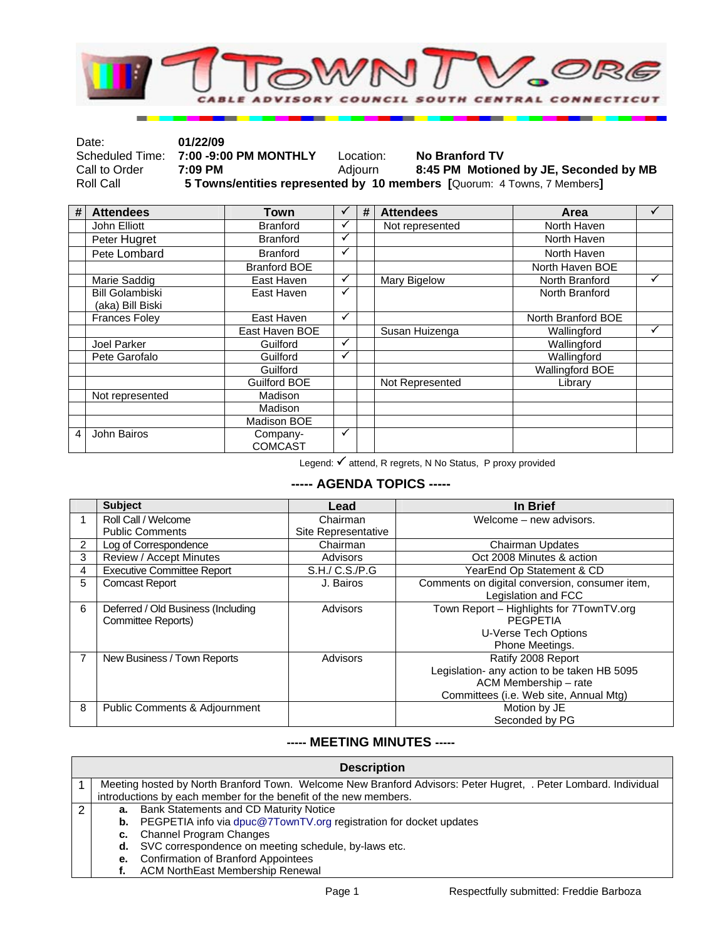

| Date:         | 01/22/09                              |           |                                                                         |
|---------------|---------------------------------------|-----------|-------------------------------------------------------------------------|
|               | Scheduled Time: 7:00 -9:00 PM MONTHLY | Location: | <b>No Branford TV</b>                                                   |
| Call to Order | 7:09 PM                               | Adiourn   | 8:45 PM Motioned by JE, Seconded by MB                                  |
| Roll Call     |                                       |           | 5 Towns/entities represented by 10 members [Quorum: 4 Towns, 7 Members] |

| # | <b>Attendees</b>       | Town                |              | # | <b>Attendees</b> | Area                   |   |
|---|------------------------|---------------------|--------------|---|------------------|------------------------|---|
|   | John Elliott           | <b>Branford</b>     | ✓            |   | Not represented  | North Haven            |   |
|   | Peter Hugret           | <b>Branford</b>     | $\checkmark$ |   |                  | North Haven            |   |
|   | Pete Lombard           | <b>Branford</b>     | $\checkmark$ |   |                  | North Haven            |   |
|   |                        | <b>Branford BOE</b> |              |   |                  | North Haven BOE        |   |
|   | Marie Saddig           | East Haven          | ✓            |   | Mary Bigelow     | North Branford         | ✓ |
|   | <b>Bill Golambiski</b> | East Haven          | ✓            |   |                  | North Branford         |   |
|   | (aka) Bill Biski       |                     |              |   |                  |                        |   |
|   | <b>Frances Foley</b>   | East Haven          | $\checkmark$ |   |                  | North Branford BOE     |   |
|   |                        | East Haven BOE      |              |   | Susan Huizenga   | Wallingford            | ✓ |
|   | Joel Parker            | Guilford            | ✓            |   |                  | Wallingford            |   |
|   | Pete Garofalo          | Guilford            | ✓            |   |                  | Wallingford            |   |
|   |                        | Guilford            |              |   |                  | <b>Wallingford BOE</b> |   |
|   |                        | Guilford BOE        |              |   | Not Represented  | Library                |   |
|   | Not represented        | Madison             |              |   |                  |                        |   |
|   |                        | Madison             |              |   |                  |                        |   |
|   |                        | Madison BOE         |              |   |                  |                        |   |
| 4 | John Bairos            | Company-            | ✓            |   |                  |                        |   |
|   |                        | <b>COMCAST</b>      |              |   |                  |                        |   |

Legend:  $\checkmark$  attend, R regrets, N No Status, P proxy provided

## **----- AGENDA TOPICS -----**

|                | <b>Subject</b>                           | Lead                | In Brief                                       |
|----------------|------------------------------------------|---------------------|------------------------------------------------|
|                | Roll Call / Welcome                      | Chairman            | Welcome - new advisors.                        |
|                | <b>Public Comments</b>                   | Site Representative |                                                |
| $\overline{2}$ | Log of Correspondence                    | Chairman            | <b>Chairman Updates</b>                        |
| 3              | Review / Accept Minutes                  | Advisors            | Oct 2008 Minutes & action                      |
| 4              | <b>Executive Committee Report</b>        | S.H./ C.S./P.G      | YearEnd Op Statement & CD                      |
| 5              | <b>Comcast Report</b>                    | J. Bairos           | Comments on digital conversion, consumer item, |
|                |                                          |                     | Legislation and FCC                            |
| 6              | Deferred / Old Business (Including       | Advisors            | Town Report - Highlights for 7TownTV.org       |
|                | Committee Reports)                       |                     | PEGPETIA                                       |
|                |                                          |                     | U-Verse Tech Options                           |
|                |                                          |                     | Phone Meetings.                                |
| 7              | New Business / Town Reports              | Advisors            | Ratify 2008 Report                             |
|                |                                          |                     | Legislation- any action to be taken HB 5095    |
|                |                                          |                     | ACM Membership - rate                          |
|                |                                          |                     | Committees (i.e. Web site, Annual Mtg)         |
| 8              | <b>Public Comments &amp; Adjournment</b> |                     | Motion by JE                                   |
|                |                                          |                     | Seconded by PG                                 |

## **----- MEETING MINUTES -----**

| <b>Description</b>                                               |                                                                                                                 |  |  |  |
|------------------------------------------------------------------|-----------------------------------------------------------------------------------------------------------------|--|--|--|
|                                                                  | Meeting hosted by North Branford Town. Welcome New Branford Advisors: Peter Hugret, . Peter Lombard. Individual |  |  |  |
| introductions by each member for the benefit of the new members. |                                                                                                                 |  |  |  |
| а.                                                               | Bank Statements and CD Maturity Notice                                                                          |  |  |  |
| b.                                                               | PEGPETIA info via dpuc@7TownTV.org registration for docket updates                                              |  |  |  |
|                                                                  | c. Channel Program Changes                                                                                      |  |  |  |
| d.                                                               | SVC correspondence on meeting schedule, by-laws etc.                                                            |  |  |  |
| е.                                                               | <b>Confirmation of Branford Appointees</b>                                                                      |  |  |  |
|                                                                  | <b>ACM NorthEast Membership Renewal</b>                                                                         |  |  |  |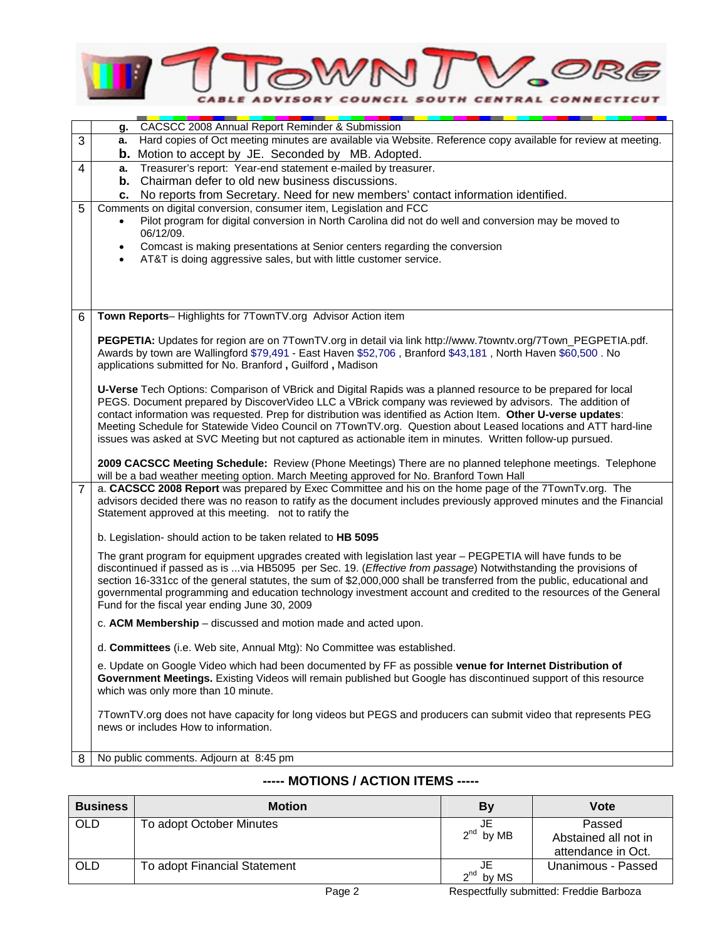

|                | CACSCC 2008 Annual Report Reminder & Submission<br>g.                                                                                                                    |  |  |  |  |
|----------------|--------------------------------------------------------------------------------------------------------------------------------------------------------------------------|--|--|--|--|
| 3              | Hard copies of Oct meeting minutes are available via Website. Reference copy available for review at meeting.<br>а.                                                      |  |  |  |  |
|                | <b>b.</b> Motion to accept by JE. Seconded by MB. Adopted.                                                                                                               |  |  |  |  |
| 4              | Treasurer's report: Year-end statement e-mailed by treasurer.<br>а.                                                                                                      |  |  |  |  |
|                | Chairman defer to old new business discussions.<br>b.                                                                                                                    |  |  |  |  |
|                | No reports from Secretary. Need for new members' contact information identified.<br>с.                                                                                   |  |  |  |  |
| 5              | Comments on digital conversion, consumer item, Legislation and FCC                                                                                                       |  |  |  |  |
|                | Pilot program for digital conversion in North Carolina did not do well and conversion may be moved to                                                                    |  |  |  |  |
|                | 06/12/09.<br>Comcast is making presentations at Senior centers regarding the conversion<br>$\bullet$                                                                     |  |  |  |  |
|                | AT&T is doing aggressive sales, but with little customer service.<br>$\bullet$                                                                                           |  |  |  |  |
|                |                                                                                                                                                                          |  |  |  |  |
|                |                                                                                                                                                                          |  |  |  |  |
|                |                                                                                                                                                                          |  |  |  |  |
| 6              | Town Reports-Highlights for 7TownTV.org Advisor Action item                                                                                                              |  |  |  |  |
|                |                                                                                                                                                                          |  |  |  |  |
|                | PEGPETIA: Updates for region are on 7TownTV.org in detail via link http://www.7towntv.org/7Town_PEGPETIA.pdf.                                                            |  |  |  |  |
|                | Awards by town are Wallingford \$79,491 - East Haven \$52,706, Branford \$43,181, North Haven \$60,500. No<br>applications submitted for No. Branford, Guilford, Madison |  |  |  |  |
|                |                                                                                                                                                                          |  |  |  |  |
|                | U-Verse Tech Options: Comparison of VBrick and Digital Rapids was a planned resource to be prepared for local                                                            |  |  |  |  |
|                | PEGS. Document prepared by DiscoverVideo LLC a VBrick company was reviewed by advisors. The addition of                                                                  |  |  |  |  |
|                | contact information was requested. Prep for distribution was identified as Action Item. Other U-verse updates:                                                           |  |  |  |  |
|                | Meeting Schedule for Statewide Video Council on 7TownTV.org. Question about Leased locations and ATT hard-line                                                           |  |  |  |  |
|                | issues was asked at SVC Meeting but not captured as actionable item in minutes. Written follow-up pursued.                                                               |  |  |  |  |
|                | 2009 CACSCC Meeting Schedule: Review (Phone Meetings) There are no planned telephone meetings. Telephone                                                                 |  |  |  |  |
|                | will be a bad weather meeting option. March Meeting approved for No. Branford Town Hall                                                                                  |  |  |  |  |
| $\overline{7}$ | a. CACSCC 2008 Report was prepared by Exec Committee and his on the home page of the 7TownTv.org. The                                                                    |  |  |  |  |
|                | advisors decided there was no reason to ratify as the document includes previously approved minutes and the Financial                                                    |  |  |  |  |
|                | Statement approved at this meeting. not to ratify the                                                                                                                    |  |  |  |  |
|                | b. Legislation- should action to be taken related to HB 5095                                                                                                             |  |  |  |  |
|                | The grant program for equipment upgrades created with legislation last year - PEGPETIA will have funds to be                                                             |  |  |  |  |
|                | discontinued if passed as is via HB5095 per Sec. 19. (Effective from passage) Notwithstanding the provisions of                                                          |  |  |  |  |
|                | section 16-331cc of the general statutes, the sum of \$2,000,000 shall be transferred from the public, educational and                                                   |  |  |  |  |
|                | governmental programming and education technology investment account and credited to the resources of the General                                                        |  |  |  |  |
|                | Fund for the fiscal year ending June 30, 2009                                                                                                                            |  |  |  |  |
|                | c. ACM Membership - discussed and motion made and acted upon.                                                                                                            |  |  |  |  |
|                |                                                                                                                                                                          |  |  |  |  |
|                | d. Committees (i.e. Web site, Annual Mtg): No Committee was established.                                                                                                 |  |  |  |  |
|                | e. Update on Google Video which had been documented by FF as possible venue for Internet Distribution of                                                                 |  |  |  |  |
|                | Government Meetings. Existing Videos will remain published but Google has discontinued support of this resource<br>which was only more than 10 minute.                   |  |  |  |  |
|                |                                                                                                                                                                          |  |  |  |  |
|                | 7TownTV.org does not have capacity for long videos but PEGS and producers can submit video that represents PEG                                                           |  |  |  |  |
|                | news or includes How to information.                                                                                                                                     |  |  |  |  |
|                |                                                                                                                                                                          |  |  |  |  |
| 8              | No public comments. Adjourn at 8:45 pm                                                                                                                                   |  |  |  |  |
|                |                                                                                                                                                                          |  |  |  |  |

## **----- MOTIONS / ACTION ITEMS -----**

| <b>Business</b> | <b>Motion</b>                | Bv             | Vote                 |
|-----------------|------------------------------|----------------|----------------------|
| <b>OLD</b>      | To adopt October Minutes     | JE             | Passed               |
|                 |                              | $2^{nd}$ by MB | Abstained all not in |
|                 |                              |                | attendance in Oct.   |
| <b>OLD</b>      | To adopt Financial Statement |                | Unanimous - Passed   |
|                 |                              | $2^{nd}$ by MS |                      |